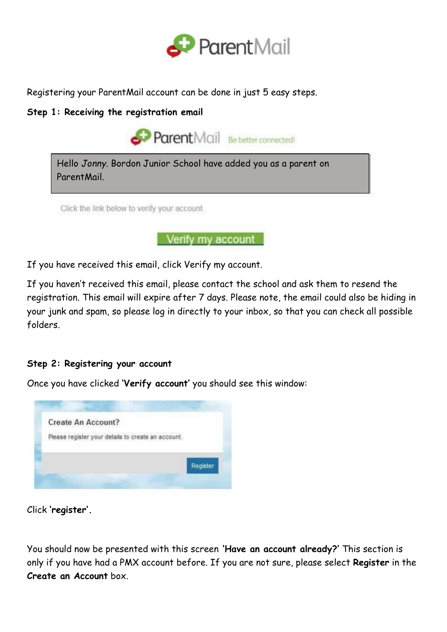

Registering your ParentMail account can be done in just 5 easy steps.

## **Step 1: Receiving the registration email**



Verify my account

If you have received this email, click Verify my account.

If you haven't received this email, please contact the school and ask them to resend the registration. This email will expire after 7 days. Please note, the email could also be hiding in your junk and spam, so please log in directly to your inbox, so that you can check all possible folders.

**Step 2: Registering your account**

Once you have clicked **'Verify account'** you should see this window:



Click **'register'.**

You should now be presented with this screen **'Have an account already?'** This section is only if you have had a PMX account before. If you are not sure, please select **Register** in the **Create an Account** box.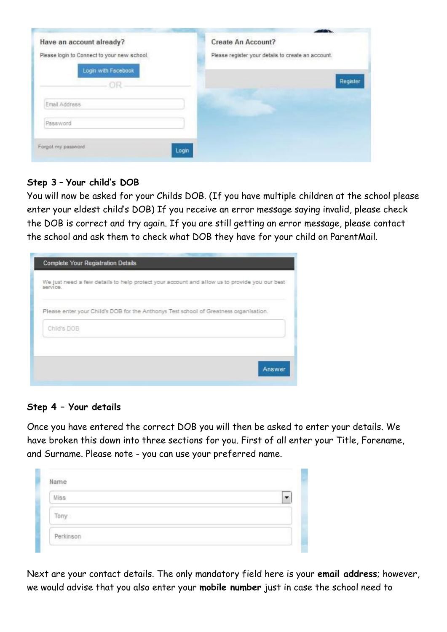| Please register your details to create an account. |
|----------------------------------------------------|
|                                                    |
| Register                                           |
|                                                    |
|                                                    |
|                                                    |

## **Step 3** – **Your child's DOB**

You will now be asked for your Childs DOB. (If you have multiple children at the school please enter your eldest child's DOB) If you receive an error message saying invalid, please check the DOB is correct and try again. If you are still getting an error message, please contact the school and ask them to check what DOB they have for your child on ParentMail.

| Complete Your Registration Details                                                                       |
|----------------------------------------------------------------------------------------------------------|
| We just need a few details to help protect your account and allow us to provide you our best<br>SEIVIDE. |
| Please enter your Child's DOB for the Anthonys Test school of Greatness organisation.                    |
| Child's DOB                                                                                              |
|                                                                                                          |
| Answer                                                                                                   |

## **Step 4 – Your details**

Once you have entered the correct DOB you will then be asked to enter your details. We have broken this down into three sections for you. First of all enter your Title, Forename, and Surname. Please note - you can use your preferred name.

| Miss |  |
|------|--|
| Tony |  |
|      |  |

Next are your contact details. The only mandatory field here is your **email address**; however, we would advise that you also enter your **mobile number** just in case the school need to